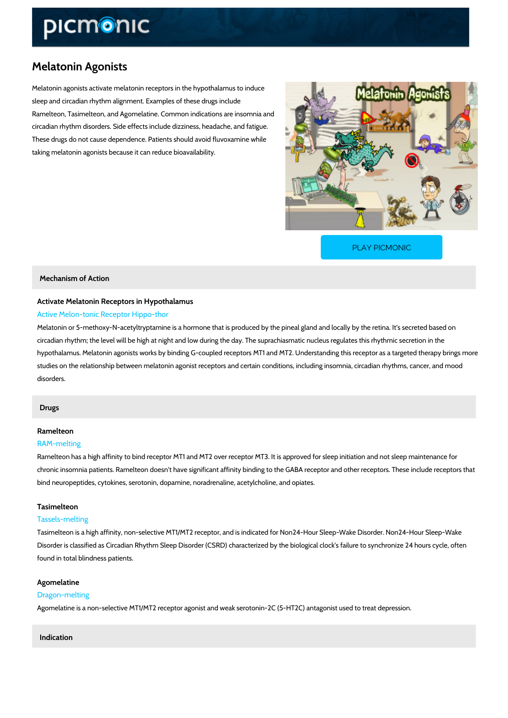# Melatonin Agonists

Melatonin agonists activate melatonin receptors in the hypothalamus to induce sleep and circadian rhythm alignment. Examples of these drugs include Ramelteon, Tasimelteon, and Agomelatine. Common indications are insomnia and circadian rhythm disorders. Side effects include dizziness, headache, and fatigue. These drugs do not cause dependence. Patients should avoid fluvoxamine while taking melatonin agonists because it can reduce bioavailability.

[PLAY PICMONIC](https://www.picmonic.com/learn/melatonin-agonists_50313?utm_source=downloadable_content&utm_medium=distributedcontent&utm_campaign=pathways_pdf&utm_content=Melatonin Agonists&utm_ad_group=leads&utm_market=all)

## Mechanism of Action

## Activate Melatonin Receptors in Hypothalamus Active Melon-tonic Receptor Hippo-thor

Melatonin or 5-methoxy-N-acetyltryptamine is a hormone that is produced by the pineal gland circadian rhythm; the level will be high at night and low during the day. The suprachiasmatic hypothalamus. Melatonin agonists works by binding G-coupled receptors MT1 and MT2. Unders studies on the relationship between melatonin agonist receptors and certain conditions, includ disorders.

## Drugs

## Ramelteon

#### RAM-melting

Ramelteon has a high affinity to bind receptor MT1 and MT2 over receptor MT3. It is approved chronic insomnia patients. Ramelteon doesn't have significant affinity binding to the GABA re bind neuropeptides, cytokines, serotonin, dopamine, noradrenaline, acetylcholine, and opiates.

#### Tasimelteon

## Tassels-melting

Tasimelteon is a high affinity, non-selective MT1/MT2 receptor, and is indicated for Non24-Ho Disorder is classified as Circadian Rhythm Sleep Disorder (CSRD) characterized by the biolog found in total blindness patients.

## Agomelatine

#### Dragon-melting

Agomelatine is a non-selective MT1/MT2 receptor agonist and weak serotonin-2C (5-HT2C) ant

### Indication